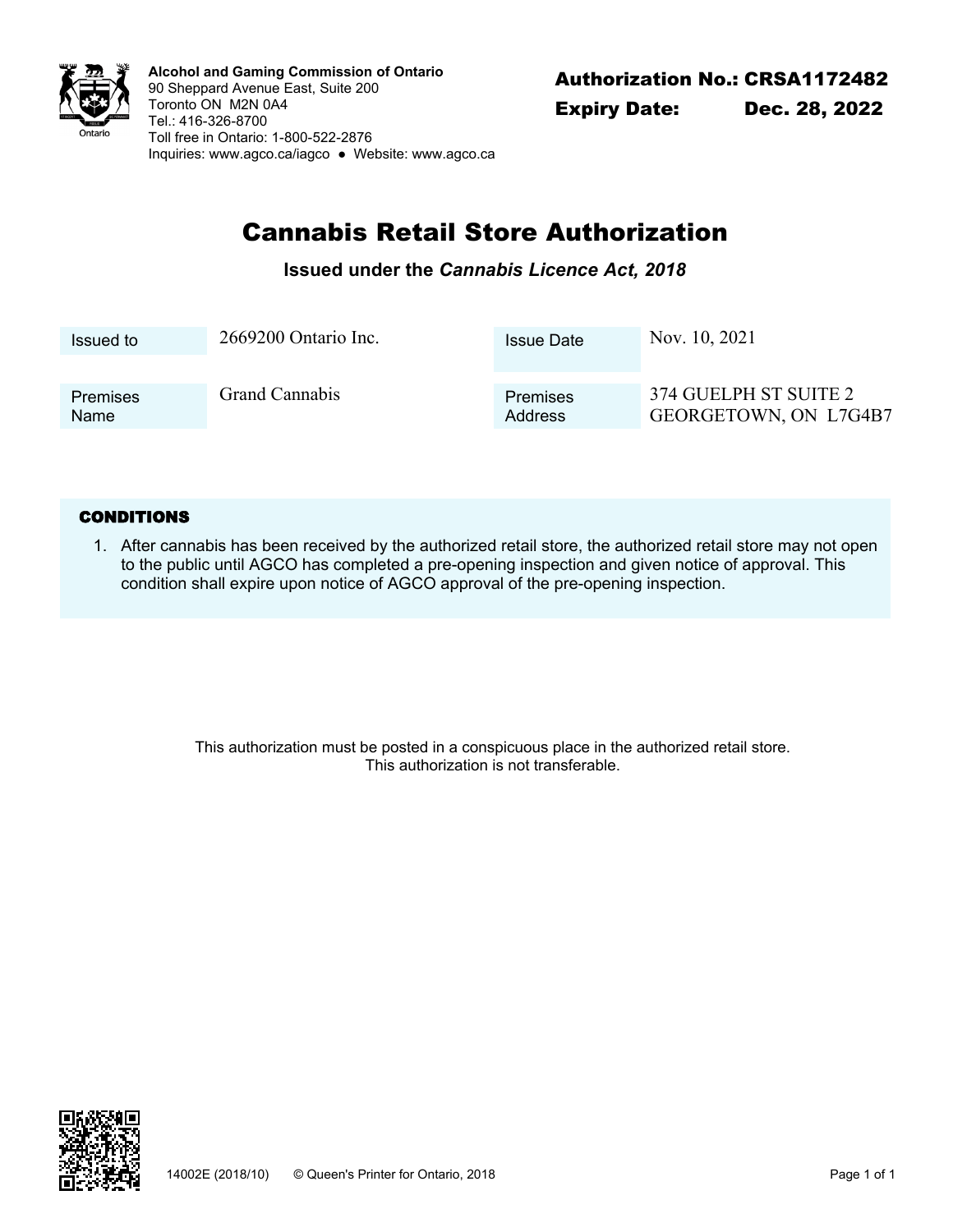

Authorization No.: CRSA1172482 **Alcohol and Gaming Commission of Ontario** 90 Sheppard Avenue East, Suite 200 Toronto ON M2N 0A4 Tel.: 416-326-8700 Toll free in Ontario: 1-800-522-2876 Inquiries: <www.agco.ca/iagco> ● Website: <www.agco.ca>

# Cannabis Retail Store Authorization

### **Issued under the** *Cannabis Licence Act, 2018*

| Issued to               | 2669200 Ontario Inc.  | <b>Issue Date</b>   | Nov. 10, 2021                                  |
|-------------------------|-----------------------|---------------------|------------------------------------------------|
|                         |                       |                     |                                                |
| <b>Premises</b><br>Name | <b>Grand Cannabis</b> | Premises<br>Address | 374 GUELPH ST SUITE 2<br>GEORGETOWN, ON L7G4B7 |

#### **CONDITIONS**

After cannabis has been received by the authorized retail store, the authorized retail store may not open 1. to the public until AGCO has completed a pre-opening inspection and given notice of approval. This condition shall expire upon notice of AGCO approval of the pre-opening inspection.

> This authorization must be posted in a conspicuous place in the authorized retail store. This authorization is not transferable.